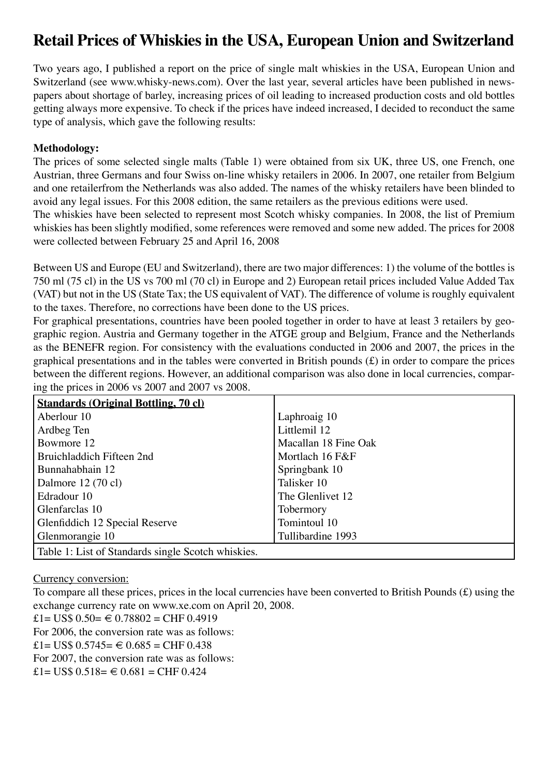# **Retail Prices of Whiskies in the USA, European Union and Switzerland**

Two years ago, I published a report on the price of single malt whiskies in the USA, European Union and Switzerland (see www.whisky-news.com). Over the last year, several articles have been published in newspapers about shortage of barley, increasing prices of oil leading to increased production costs and old bottles getting always more expensive. To check if the prices have indeed increased, I decided to reconduct the same type of analysis, which gave the following results:

#### **Methodology:**

The prices of some selected single malts (Table 1) were obtained from six UK, three US, one French, one Austrian, three Germans and four Swiss on-line whisky retailers in 2006. In 2007, one retailer from Belgium and one retailerfrom the Netherlands was also added. The names of the whisky retailers have been blinded to avoid any legal issues. For this 2008 edition, the same retailers as the previous editions were used.

The whiskies have been selected to represent most Scotch whisky companies. In 2008, the list of Premium whiskies has been slightly modified, some references were removed and some new added. The prices for 2008 were collected between February 25 and April 16, 2008

Between US and Europe (EU and Switzerland), there are two major differences: 1) the volume of the bottles is 750 ml (75 cl) in the US vs 700 ml (70 cl) in Europe and 2) European retail prices included Value Added Tax (VAT) but not in the US (State Tax; the US equivalent of VAT). The difference of volume is roughly equivalent to the taxes. Therefore, no corrections have been done to the US prices.

For graphical presentations, countries have been pooled together in order to have at least 3 retailers by geographic region. Austria and Germany together in the ATGE group and Belgium, France and the Netherlands as the BENEFR region. For consistency with the evaluations conducted in 2006 and 2007, the prices in the graphical presentations and in the tables were converted in British pounds (£) in order to compare the prices between the different regions. However, an additional comparison was also done in local currencies, comparing the prices in 2006 vs 2007 and 2007 vs 2008.

| <b>Standards (Original Bottling, 70 cl)</b>        |                      |
|----------------------------------------------------|----------------------|
| Aberlour 10                                        | Laphroaig 10         |
| Ardbeg Ten                                         | Littlemil 12         |
| Bowmore 12                                         | Macallan 18 Fine Oak |
| Bruichladdich Fifteen 2nd                          | Mortlach 16 F&F      |
| Bunnahabhain 12                                    | Springbank 10        |
| Dalmore 12 (70 cl)                                 | Talisker 10          |
| Edradour 10                                        | The Glenlivet 12     |
| Glenfarclas 10                                     | Tobermory            |
| Glenfiddich 12 Special Reserve                     | Tomintoul 10         |
| Glenmorangie 10                                    | Tullibardine 1993    |
| Table 1: List of Standards single Scotch whiskies. |                      |

Currency conversion:

To compare all these prices, prices in the local currencies have been converted to British Pounds (£) using the exchange currency rate on www.xe.com on April 20, 2008.

£1= US\$  $0.50=$  € 0.78802 = CHF 0.4919

For 2006, the conversion rate was as follows:

 $£1= US$ 0.5745= € 0.685 = CHF 0.438$ 

For 2007, the conversion rate was as follows:

 $£1= US$ 0.518=  $\in 0.681$  = CHF 0.424$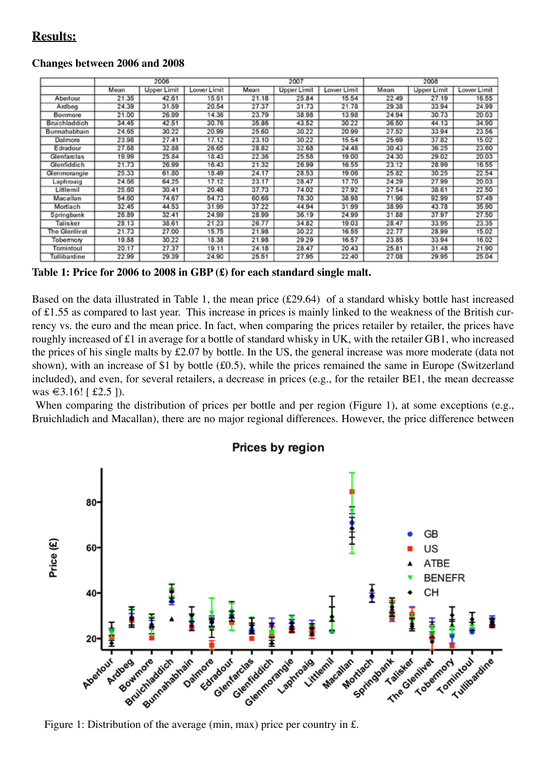## **Results:**

#### **Changes between 2006 and 2008**

|               | 2006  |                    |             | 2007  |                    |             | 2008  |             |             |
|---------------|-------|--------------------|-------------|-------|--------------------|-------------|-------|-------------|-------------|
|               | Mean  | <b>Upper Limit</b> | Lower Limit | Mean  | <b>Upper Limit</b> | Lower Limit | Mean  | Upper Limit | Lower Limit |
| Aberlour      | 21.35 | 42.61              | 15.51       | 21.18 | 25.84              | 15.54       | 22.49 | 27.19       | 16.55       |
| Ardbeg        | 24.39 | 31.59              | 20.54       | 27.37 | 31.73              | 21.78       | 29.38 | 33.94       | 24.99       |
| Bowmore       | 21.00 | 26.99              | 14.36       | 23.79 | 38.98              | 13.98       | 24.94 | 30.73       | 20.03       |
| Bruichladdich | 34.45 | 42.51              | 30.76       | 35.86 | 43.52              | 30.22       | 36.50 | 44.13       | 34.90       |
| Bunnahabhain  | 24.65 | 30.22              | 20.99       | 25.60 | 30.22              | 20.99       | 27.52 | 33.94       | 23.56       |
| Dalmore       | 23.98 | 27.41              | 17.12       | 23.10 | 30.22              | 15.54       | 25.69 | 37.82       | 15.02       |
| Edradour      | 27.68 | 32.88              | 26.65       | 28.82 | 32.68              | 24.48       | 30.43 | 36.25       | 23.60       |
| Glenfarclas   | 19.99 | 25.84              | 18.43       | 22.36 | 25.58              | 19.00       | 24.30 | 29.02       | 20.03       |
| Glenfiddich   | 21.73 | 26.99              | 16.43       | 21.32 | 26.99              | 16.55       | 23.12 | 28.99       | 16.55       |
| Glenmorangie  | 25.33 | 61.80              | 18.49       | 24.17 | 28.53              | 19.06       | 25.82 | 30.25       | 22.54       |
| Laphroaig     | 24.66 | 64.25              | 17.12       | 23.17 | 28.47              | 17.70       | 24.29 | 27.99       | 20.03       |
| Littlemil     | 25.60 | 30.41              | 20.48       | 37.73 | 74.02              | 27.92       | 27.54 | 38.61       | 22.50       |
| Macallan      | 54.60 | 74.67              | 54.73       | 60.66 | 78.30              | 38.98       | 71.96 | 92.99       | 57.49       |
| Mortlach      | 32.45 | 44.53              | 31.99       | 37.22 | 44.94              | 31.99       | 38.99 | 43.78       | 35.90       |
| Springbank    | 26.89 | 32.41              | 24.99       | 28.99 | 36.19              | 24.99       | 31.88 | 37.97       | 27.50       |
| Talisker      | 28.13 | 38.61              | 21.23       | 26.77 | 34.82              | 19.03       | 28.47 | 33.95       | 23.35       |
| The Glenlivet | 21.73 | 27.00              | 15.75       | 21.98 | 30.22              | 16.55       | 22.77 | 28.99       | 15.02       |
| Tobermory     | 19.88 | 30.22              | 18.38       | 21.98 | 29.29              | 16.57       | 23.85 | 33.94       | 16.02       |
| Tomintoul     | 20.17 | 27.37              | 19.11       | 24.18 | 28.47              | 20.43       | 25.81 | 31.48       | 21.90       |
| Tullibardine  | 22.99 | 29.39              | 24.90       | 25.51 | 27.95              | 22.40       | 27.08 | 29.95       | 25.04       |

**Table 1: Price for 2006 to 2008 in GBP (£) for each standard single malt.**

Based on the data illustrated in Table 1, the mean price (£29.64) of a standard whisky bottle hast increased of £1.55 as compared to last year. This increase in prices is mainly linked to the weakness of the British currency vs. the euro and the mean price. In fact, when comparing the prices retailer by retailer, the prices have roughly increased of £1 in average for a bottle of standard whisky in UK, with the retailer GB1, who increased the prices of his single malts by £2.07 by bottle. In the US, the general increase was more moderate (data not shown), with an increase of \$1 by bottle (£0.5), while the prices remained the same in Europe (Switzerland included), and even, for several retailers, a decrease in prices (e.g., for the retailer BE1, the mean decreasse was €3.16! [£2.5 ]).

When comparing the distribution of prices per bottle and per region (Figure 1), at some exceptions (e.g., Bruichladich and Macallan), there are no major regional differences. However, the price difference between



Prices by region

Figure 1: Distribution of the average (min, max) price per country in £.